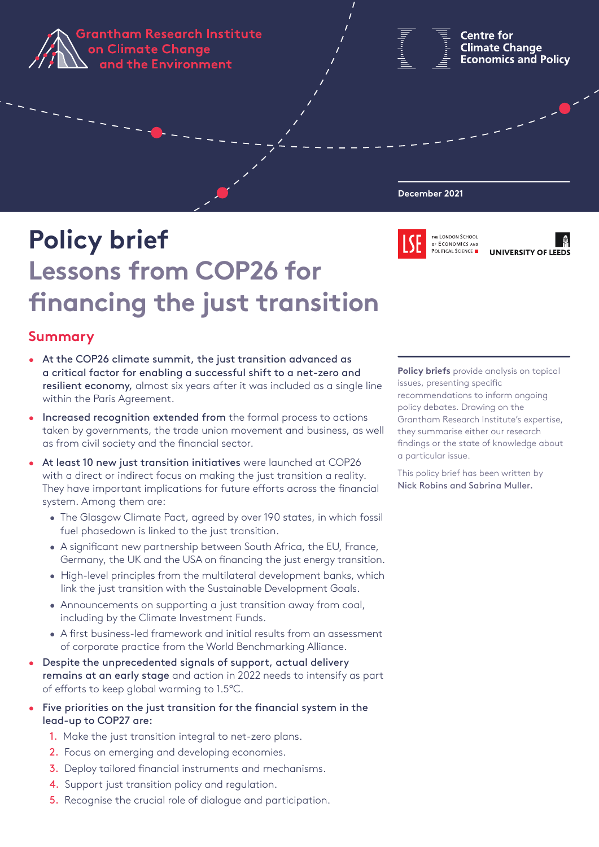**Grantham Research Institute** on Climate Change and the Environment

**Centre for Climate Change Economics and Policy** 

#### **December 2021**



**LONDON SCHOO** OF ECONOMICS AND POLITICAL SCIENCE UNIVERSITY OF LEEDS

# **Policy brief Lessons from COP26 for financing the just transition**

## **Summary**

- At the COP26 climate summit, the just transition advanced as a critical factor for enabling a successful shift to a net-zero and resilient economy, almost six years after it was included as a single line within the Paris Agreement.
- Increased recognition extended from the formal process to actions taken by governments, the trade union movement and business, as well as from civil society and the financial sector.
- At least 10 new just transition initiatives were launched at COP26 with a direct or indirect focus on making the just transition a reality. They have important implications for future efforts across the financial system. Among them are:
	- The Glasgow Climate Pact, agreed by over 190 states, in which fossil fuel phasedown is linked to the just transition.
	- A significant new partnership between South Africa, the EU, France, Germany, the UK and the USA on financing the just energy transition.
	- High-level principles from the multilateral development banks, which link the just transition with the Sustainable Development Goals.
	- Announcements on supporting a just transition away from coal, including by the Climate Investment Funds.
	- A first business-led framework and initial results from an assessment of corporate practice from the World Benchmarking Alliance.
- Despite the unprecedented signals of support, actual delivery remains at an early stage and action in 2022 needs to intensify as part of efforts to keep global warming to 1.5°C.
- Five priorities on the just transition for the financial system in the lead-up to COP27 are:
	- 1. Make the just transition integral to net-zero plans.
	- 2. Focus on emerging and developing economies.
	- 3. Deploy tailored financial instruments and mechanisms.
	- 4. Support just transition policy and regulation.
	- 5. Recognise the crucial role of dialogue and participation.

**Policy briefs** provide analysis on topical issues, presenting specific recommendations to inform ongoing policy debates. Drawing on the Grantham Research Institute's expertise, they summarise either our research findings or the state of knowledge about a particular issue.

This policy brief has been written by Nick Robins and Sabrina Muller.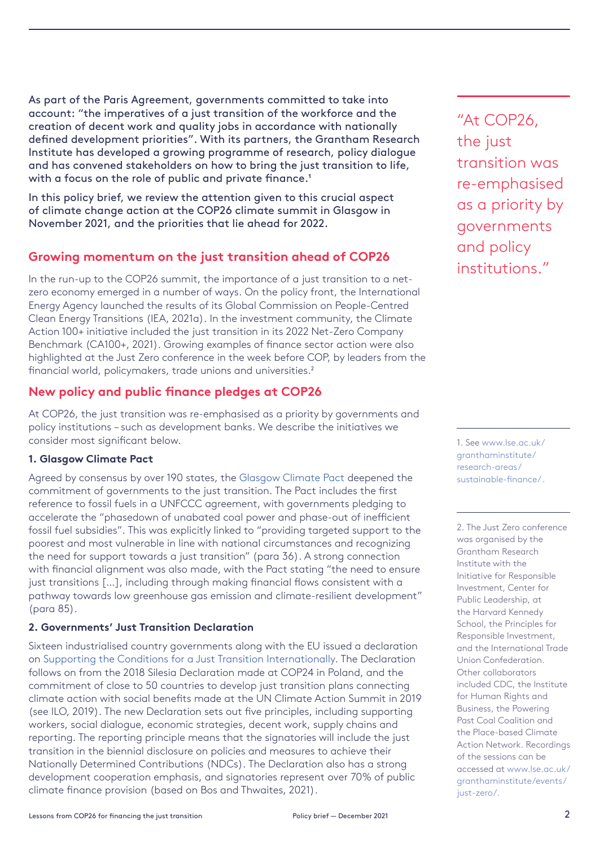As part of the Paris Agreement, governments committed to take into account: "the imperatives of a just transition of the workforce and the creation of decent work and quality jobs in accordance with nationally defined development priorities". With its partners, the Grantham Research Institute has developed a growing programme of research, policy dialogue and has convened stakeholders on how to bring the just transition to life, with a focus on the role of public and private finance.<sup>1</sup>

In this policy brief, we review the attention given to this crucial aspect of climate change action at the COP26 climate summit in Glasgow in November 2021, and the priorities that lie ahead for 2022.

## **Growing momentum on the just transition ahead of COP26**

In the run-up to the COP26 summit, the importance of a just transition to a netzero economy emerged in a number of ways. On the policy front, the International Energy Agency launched the results of its Global Commission on People-Centred Clean Energy Transitions (IEA, 2021a). In the investment community, the Climate Action 100+ initiative included the just transition in its 2022 Net-Zero Company Benchmark (CA100+, 2021). Growing examples of finance sector action were also highlighted at the Just Zero conference in the week before COP, by leaders from the financial world, policymakers, trade unions and universities.<sup>2</sup>

## **New policy and public finance pledges at COP26**

At COP26, the just transition was re-emphasised as a priority by governments and policy institutions – such as development banks. We describe the initiatives we consider most significant below.

## **1. Glasgow Climate Pact**

Agreed by consensus by over 190 states, the [Glasgow Climate Pact](https://unfccc.int/documents/310475) deepened the commitment of governments to the just transition. The Pact includes the first reference to fossil fuels in a UNFCCC agreement, with governments pledging to accelerate the "phasedown of unabated coal power and phase-out of inefficient fossil fuel subsidies". This was explicitly linked to "providing targeted support to the poorest and most vulnerable in line with national circumstances and recognizing the need for support towards a just transition" (para 36). A strong connection with financial alignment was also made, with the Pact stating "the need to ensure just transitions [...], including through making financial flows consistent with a pathway towards low greenhouse gas emission and climate-resilient development" (para 85).

## **2. Governments' Just Transition Declaration**

Sixteen industrialised country governments along with the EU issued a declaration on [Supporting the Conditions for a Just Transition Internationally](https://ukcop26.org/supporting-the-conditions-for-a-just-transition-internationally/). The Declaration follows on from the 2018 Silesia Declaration made at COP24 in Poland, and the commitment of close to 50 countries to develop just transition plans connecting climate action with social benefits made at the UN Climate Action Summit in 2019 (see ILO, 2019). The new Declaration sets out five principles, including supporting workers, social dialogue, economic strategies, decent work, supply chains and reporting. The reporting principle means that the signatories will include the just transition in the biennial disclosure on policies and measures to achieve their Nationally Determined Contributions (NDCs). The Declaration also has a strong development cooperation emphasis, and signatories represent over 70% of public climate finance provision (based on Bos and Thwaites, 2021).

"At COP26, the just transition was re-emphasised as a priority by governments and policy institutions."

1. See [www.lse.ac.uk/](http://www.lse.ac.uk/granthaminstitute/research-areas/sustainable-finance/ ) [granthaminstitute/](http://www.lse.ac.uk/granthaminstitute/research-areas/sustainable-finance/ ) [research-areas/](http://www.lse.ac.uk/granthaminstitute/research-areas/sustainable-finance/ ) [sustainable-finance/](http://www.lse.ac.uk/granthaminstitute/research-areas/sustainable-finance/ ) .

2. The Just Zero conference was organised by the Grantham Research Institute with the Initiative for Responsible Investment, Center for Public Leadership, at the Harvard Kennedy School, the Principles for Responsible Investment, and the International Trade Union Confederation. Other collaborators included CDC, the Institute for Human Rights and Business, the Powering Past Coal Coalition and the Place-based Climate Action Network. Recordings of the sessions can be accessed at [www.lse.ac.uk/](http://www.lse.ac.uk/granthaminstitute/events/just-zero/.) [granthaminstitute/events/](http://www.lse.ac.uk/granthaminstitute/events/just-zero/.) [just-zero/.](http://www.lse.ac.uk/granthaminstitute/events/just-zero/.)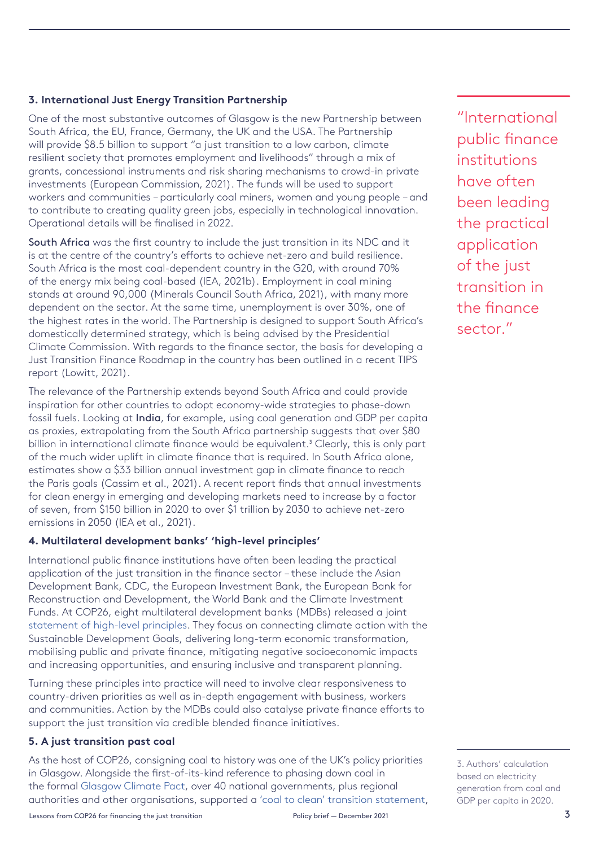#### **3. International Just Energy Transition Partnership**

One of the most substantive outcomes of Glasgow is the new Partnership between South Africa, the EU, France, Germany, the UK and the USA. The Partnership will provide \$8.5 billion to support "a just transition to a low carbon, climate resilient society that promotes employment and livelihoods" through a mix of grants, concessional instruments and risk sharing mechanisms to crowd-in private investments (European Commission, 2021). The funds will be used to support workers and communities – particularly coal miners, women and young people – and to contribute to creating quality green jobs, especially in technological innovation. Operational details will be finalised in 2022.

South Africa was the first country to include the just transition in its NDC and it is at the centre of the country's efforts to achieve net-zero and build resilience. South Africa is the most coal-dependent country in the G20, with around 70% of the energy mix being coal-based (IEA, 2021b). Employment in coal mining stands at around 90,000 (Minerals Council South Africa, 2021), with many more dependent on the sector. At the same time, unemployment is over 30%, one of the highest rates in the world. The Partnership is designed to support South Africa's domestically determined strategy, which is being advised by the Presidential Climate Commission. With regards to the finance sector, the basis for developing a Just Transition Finance Roadmap in the country has been outlined in a recent TIPS report (Lowitt, 2021).

The relevance of the Partnership extends beyond South Africa and could provide inspiration for other countries to adopt economy-wide strategies to phase-down fossil fuels. Looking at India, for example, using coal generation and GDP per capita as proxies, extrapolating from the South Africa partnership suggests that over \$80 billion in international climate finance would be equivalent.<sup>3</sup> Clearly, this is only part of the much wider uplift in climate finance that is required. In South Africa alone, estimates show a \$33 billion annual investment gap in climate finance to reach the Paris goals (Cassim et al., 2021). A recent report finds that annual investments for clean energy in emerging and developing markets need to increase by a factor of seven, from \$150 billion in 2020 to over \$1 trillion by 2030 to achieve net-zero emissions in 2050 (IEA et al., 2021).

#### **4. Multilateral development banks' 'high-level principles'**

International public finance institutions have often been leading the practical application of the just transition in the finance sector – these include the Asian Development Bank, CDC, the European Investment Bank, the European Bank for Reconstruction and Development, the World Bank and the Climate Investment Funds. At COP26, eight multilateral development banks (MDBs) released a joint [statement of high-level principles.](https://www.adb.org/sites/default/files/page/41117/climate-change-finance-joint-mdb-statement-2019-09-23.pdf) They focus on connecting climate action with the Sustainable Development Goals, delivering long-term economic transformation, mobilising public and private finance, mitigating negative socioeconomic impacts and increasing opportunities, and ensuring inclusive and transparent planning.

Turning these principles into practice will need to involve clear responsiveness to country-driven priorities as well as in-depth engagement with business, workers and communities. Action by the MDBs could also catalyse private finance efforts to support the just transition via credible blended finance initiatives.

#### **5. A just transition past coal**

As the host of COP26, consigning coal to history was one of the UK's policy priorities in Glasgow. Alongside the first-of-its-kind reference to phasing down coal in the formal [Glasgow Climate Pact](https://unfccc.int/documents/310475), over 40 national governments, plus regional authorities and other organisations, supported a ['coal to clean' transition statement,](https://ukcop26.org/global-coal-to-clean-power-transition-statement/)

transition in the finance sector."

"International

public finance

institutions

have often

been leading

the practical

application

of the just

3. Authors' calculation based on electricity generation from coal and GDP per capita in 2020.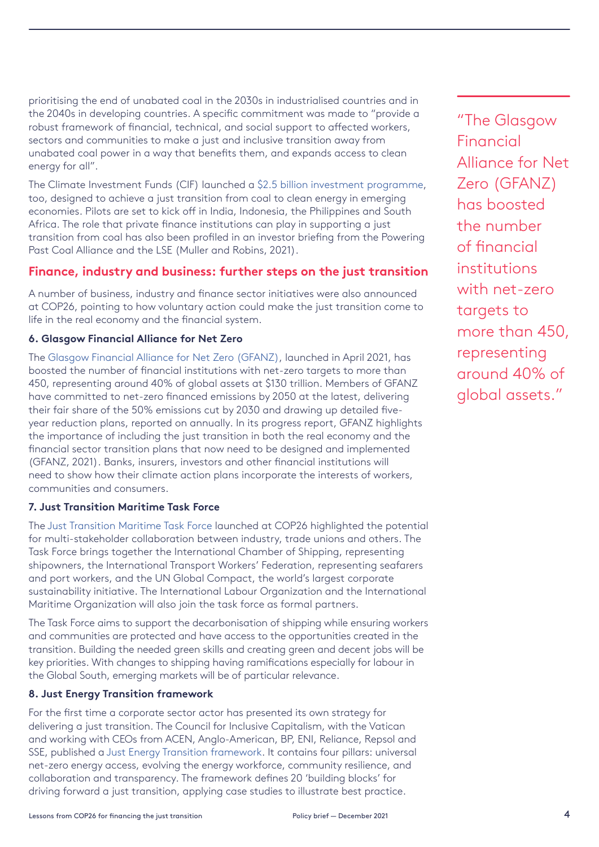prioritising the end of unabated coal in the 2030s in industrialised countries and in the 2040s in developing countries. A specific commitment was made to "provide a robust framework of financial, technical, and social support to affected workers, sectors and communities to make a just and inclusive transition away from unabated coal power in a way that benefits them, and expands access to clean energy for all".

The Climate Investment Funds (CIF) launched a [\\$2.5 billion investment programme](https://www.climateinvestmentfunds.org/news/cif-begins-historic-25b-coal-transition-pilot-four-developing-countries), too, designed to achieve a just transition from coal to clean energy in emerging economies. Pilots are set to kick off in India, Indonesia, the Philippines and South Africa. The role that private finance institutions can play in supporting a just transition from coal has also been profiled in an investor briefing from the Powering Past Coal Alliance and the LSE (Muller and Robins, 2021).

## **Finance, industry and business: further steps on the just transition**

A number of business, industry and finance sector initiatives were also announced at COP26, pointing to how voluntary action could make the just transition come to life in the real economy and the financial system.

#### **6. Glasgow Financial Alliance for Net Zero**

The [Glasgow Financial Alliance for Net Zero \(GFANZ\)](https://www.gfanzero.com/), launched in April 2021, has boosted the number of financial institutions with net-zero targets to more than 450, representing around 40% of global assets at \$130 trillion. Members of GFANZ have committed to net-zero financed emissions by 2050 at the latest, delivering their fair share of the 50% emissions cut by 2030 and drawing up detailed fiveyear reduction plans, reported on annually. In its progress report, GFANZ highlights the importance of including the just transition in both the real economy and the financial sector transition plans that now need to be designed and implemented (GFANZ, 2021). Banks, insurers, investors and other financial institutions will need to show how their climate action plans incorporate the interests of workers, communities and consumers.

#### **7. Just Transition Maritime Task Force**

The [Just Transition Maritime Task Force](https://www.ics-shipping.org/press-release/un-global-compact-and-shipping-industry-confirm-formation-of-people-centred-task-force-to-ensure-just-transition-to-net-zero/) launched at COP26 highlighted the potential for multi-stakeholder collaboration between industry, trade unions and others. The Task Force brings together the International Chamber of Shipping, representing shipowners, the International Transport Workers' Federation, representing seafarers and port workers, and the UN Global Compact, the world's largest corporate sustainability initiative. The International Labour Organization and the International Maritime Organization will also join the task force as formal partners.

The Task Force aims to support the decarbonisation of shipping while ensuring workers and communities are protected and have access to the opportunities created in the transition. Building the needed green skills and creating green and decent jobs will be key priorities. With changes to shipping having ramifications especially for labour in the Global South, emerging markets will be of particular relevance.

#### **8. Just Energy Transition framework**

For the first time a corporate sector actor has presented its own strategy for delivering a just transition. The Council for Inclusive Capitalism, with the Vatican and working with CEOs from ACEN, Anglo-American, BP, ENI, Reliance, Repsol and SSE, published a [Just Energy Transition framework](https://www.inclusivecapitalism.com/just-energy-transition-company-framework/). It contains four pillars: universal net-zero energy access, evolving the energy workforce, community resilience, and collaboration and transparency. The framework defines 20 'building blocks' for driving forward a just transition, applying case studies to illustrate best practice.

"The Glasgow Financial Alliance for Net Zero (GFANZ) has boosted the number of financial institutions with net-zero targets to more than 450, representing around 40% of global assets."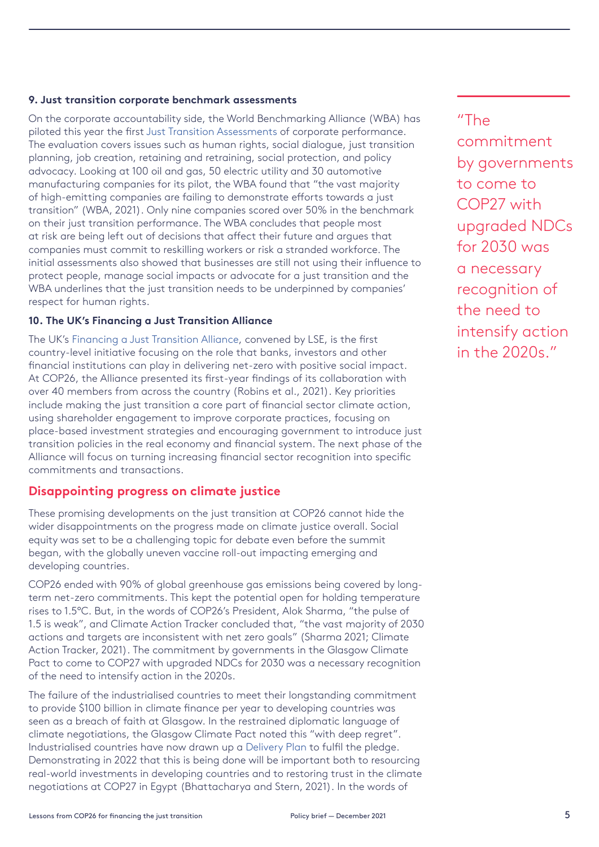#### **9. Just transition corporate benchmark assessments**

On the corporate accountability side, the World Benchmarking Alliance (WBA) has piloted this year the first [Just Transition Assessments](https://www.worldbenchmarkingalliance.org/research/2021-just-transition-assessment/) of corporate performance. The evaluation covers issues such as human rights, social dialogue, just transition planning, job creation, retaining and retraining, social protection, and policy advocacy. Looking at 100 oil and gas, 50 electric utility and 30 automotive manufacturing companies for its pilot, the WBA found that "the vast majority of high-emitting companies are failing to demonstrate efforts towards a just transition" (WBA, 2021). Only nine companies scored over 50% in the benchmark on their just transition performance. The WBA concludes that people most at risk are being left out of decisions that affect their future and argues that companies must commit to reskilling workers or risk a stranded workforce. The initial assessments also showed that businesses are still not using their influence to protect people, manage social impacts or advocate for a just transition and the WBA underlines that the just transition needs to be underpinned by companies' respect for human rights.

#### **10. The UK's Financing a Just Transition Alliance**

The UK's [Financing a Just Transition Alliance](https://www.lse.ac.uk/granthaminstitute/news/uk-finance-sector-sets-out-how-net-zero-can-deliver-social-progress-across-the-country/), convened by LSE, is the first country-level initiative focusing on the role that banks, investors and other financial institutions can play in delivering net-zero with positive social impact. At COP26, the Alliance presented its first-year findings of its collaboration with over 40 members from across the country (Robins et al., 2021). Key priorities include making the just transition a core part of financial sector climate action, using shareholder engagement to improve corporate practices, focusing on place-based investment strategies and encouraging government to introduce just transition policies in the real economy and financial system. The next phase of the Alliance will focus on turning increasing financial sector recognition into specific commitments and transactions.

## **Disappointing progress on climate justice**

These promising developments on the just transition at COP26 cannot hide the wider disappointments on the progress made on climate justice overall. Social equity was set to be a challenging topic for debate even before the summit began, with the globally uneven vaccine roll-out impacting emerging and developing countries.

COP26 ended with 90% of global greenhouse gas emissions being covered by longterm net-zero commitments. This kept the potential open for holding temperature rises to 1.5°C. But, in the words of COP26's President, Alok Sharma, "the pulse of 1.5 is weak", and Climate Action Tracker concluded that, "the vast majority of 2030 actions and targets are inconsistent with net zero goals" (Sharma 2021; Climate Action Tracker, 2021). The commitment by governments in the Glasgow Climate Pact to come to COP27 with upgraded NDCs for 2030 was a necessary recognition of the need to intensify action in the 2020s.

The failure of the industrialised countries to meet their longstanding commitment to provide \$100 billion in climate finance per year to developing countries was seen as a breach of faith at Glasgow. In the restrained diplomatic language of climate negotiations, the Glasgow Climate Pact noted this "with deep regret". Industrialised countries have now drawn up a [Delivery Plan](https://ukcop26.org/wp-content/uploads/2021/10/Climate-Finance-Delivery-Plan-1.pdf) to fulfil the pledge. Demonstrating in 2022 that this is being done will be important both to resourcing real-world investments in developing countries and to restoring trust in the climate negotiations at COP27 in Egypt (Bhattacharya and Stern, 2021). In the words of

# "The

commitment by governments to come to COP27 with upgraded NDCs for 2030 was a necessary recognition of the need to intensify action in the 2020s."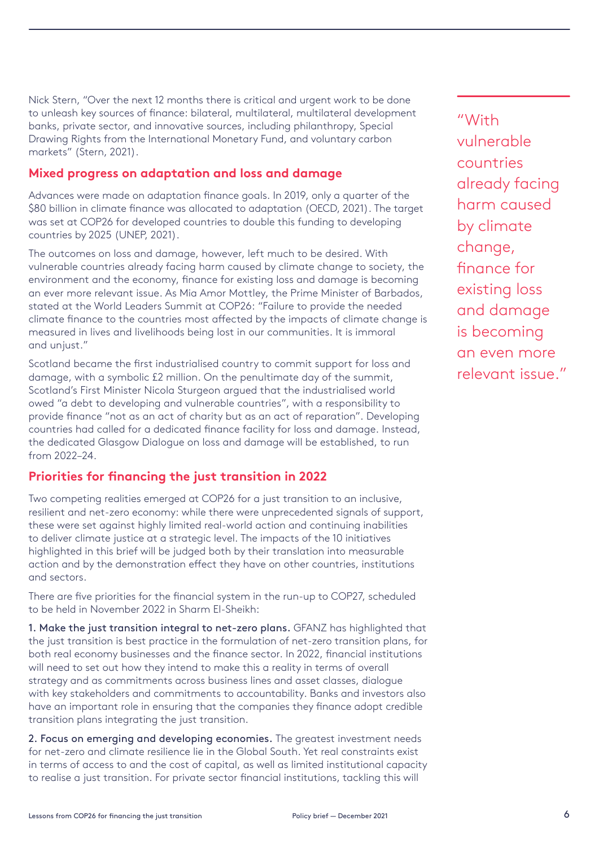Nick Stern, "Over the next 12 months there is critical and urgent work to be done to unleash key sources of finance: bilateral, multilateral, multilateral development banks, private sector, and innovative sources, including philanthropy, Special Drawing Rights from the International Monetary Fund, and voluntary carbon markets" (Stern, 2021).

## **Mixed progress on adaptation and loss and damage**

Advances were made on adaptation finance goals. In 2019, only a quarter of the \$80 billion in climate finance was allocated to adaptation (OECD, 2021). The target was set at COP26 for developed countries to double this funding to developing countries by 2025 (UNEP, 2021).

The outcomes on loss and damage, however, left much to be desired. With vulnerable countries already facing harm caused by climate change to society, the environment and the economy, finance for existing loss and damage is becoming an ever more relevant issue. As Mia Amor Mottley, the Prime Minister of Barbados, stated at the World Leaders Summit at COP26: "Failure to provide the needed climate finance to the countries most affected by the impacts of climate change is measured in lives and livelihoods being lost in our communities. It is immoral and unjust."

Scotland became the first industrialised country to commit support for loss and damage, with a symbolic £2 million. On the penultimate day of the summit, Scotland's First Minister Nicola Sturgeon argued that the industrialised world owed "a debt to developing and vulnerable countries", with a responsibility to provide finance "not as an act of charity but as an act of reparation". Developing countries had called for a dedicated finance facility for loss and damage. Instead, the dedicated Glasgow Dialogue on loss and damage will be established, to run from 2022–24.

## **Priorities for financing the just transition in 2022**

Two competing realities emerged at COP26 for a just transition to an inclusive, resilient and net-zero economy: while there were unprecedented signals of support, these were set against highly limited real-world action and continuing inabilities to deliver climate justice at a strategic level. The impacts of the 10 initiatives highlighted in this brief will be judged both by their translation into measurable action and by the demonstration effect they have on other countries, institutions and sectors.

There are five priorities for the financial system in the run-up to COP27, scheduled to be held in November 2022 in Sharm El-Sheikh:

1. Make the just transition integral to net-zero plans. GFANZ has highlighted that the just transition is best practice in the formulation of net-zero transition plans, for both real economy businesses and the finance sector. In 2022, financial institutions will need to set out how they intend to make this a reality in terms of overall strategy and as commitments across business lines and asset classes, dialogue with key stakeholders and commitments to accountability. Banks and investors also have an important role in ensuring that the companies they finance adopt credible transition plans integrating the just transition.

2. Focus on emerging and developing economies. The greatest investment needs for net-zero and climate resilience lie in the Global South. Yet real constraints exist in terms of access to and the cost of capital, as well as limited institutional capacity to realise a just transition. For private sector financial institutions, tackling this will

"With vulnerable countries already facing harm caused by climate change, finance for existing loss and damage is becoming an even more relevant issue."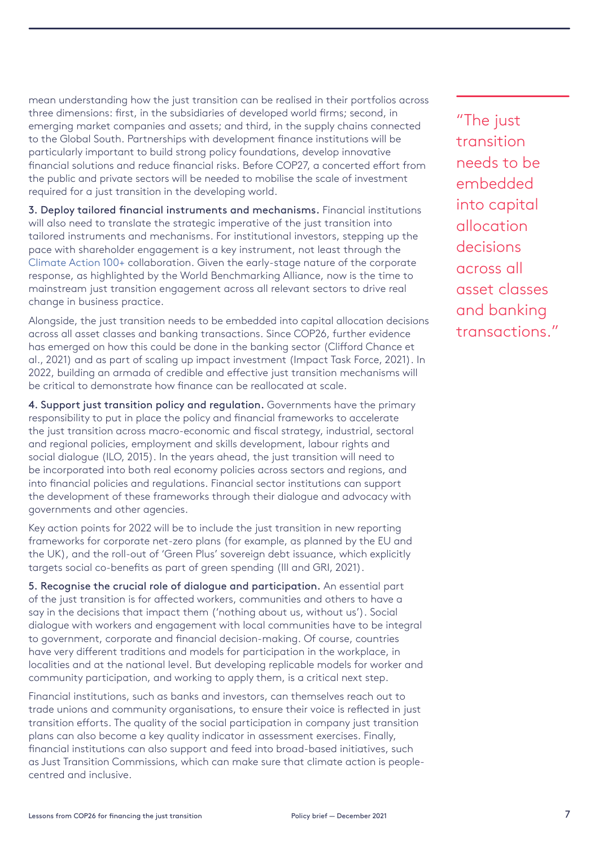mean understanding how the just transition can be realised in their portfolios across three dimensions: first, in the subsidiaries of developed world firms; second, in emerging market companies and assets; and third, in the supply chains connected to the Global South. Partnerships with development finance institutions will be particularly important to build strong policy foundations, develop innovative financial solutions and reduce financial risks. Before COP27, a concerted effort from the public and private sectors will be needed to mobilise the scale of investment required for a just transition in the developing world.

3. Deploy tailored financial instruments and mechanisms. Financial institutions will also need to translate the strategic imperative of the just transition into tailored instruments and mechanisms. For institutional investors, stepping up the pace with shareholder engagement is a key instrument, not least through the [Climate Action 100+](https://www.climateaction100.org/) collaboration. Given the early-stage nature of the corporate response, as highlighted by the World Benchmarking Alliance, now is the time to mainstream just transition engagement across all relevant sectors to drive real change in business practice.

Alongside, the just transition needs to be embedded into capital allocation decisions across all asset classes and banking transactions. Since COP26, further evidence has emerged on how this could be done in the banking sector (Clifford Chance et al., 2021) and as part of scaling up impact investment (Impact Task Force, 2021). In 2022, building an armada of credible and effective just transition mechanisms will be critical to demonstrate how finance can be reallocated at scale.

4. Support just transition policy and regulation. Governments have the primary responsibility to put in place the policy and financial frameworks to accelerate the just transition across macro-economic and fiscal strategy, industrial, sectoral and regional policies, employment and skills development, labour rights and social dialogue (ILO, 2015). In the years ahead, the just transition will need to be incorporated into both real economy policies across sectors and regions, and into financial policies and regulations. Financial sector institutions can support the development of these frameworks through their dialogue and advocacy with governments and other agencies.

Key action points for 2022 will be to include the just transition in new reporting frameworks for corporate net-zero plans (for example, as planned by the EU and the UK), and the roll-out of 'Green Plus' sovereign debt issuance, which explicitly targets social co-benefits as part of green spending (III and GRI, 2021).

5. Recognise the crucial role of dialogue and participation. An essential part of the just transition is for affected workers, communities and others to have a say in the decisions that impact them ('nothing about us, without us'). Social dialogue with workers and engagement with local communities have to be integral to government, corporate and financial decision-making. Of course, countries have very different traditions and models for participation in the workplace, in localities and at the national level. But developing replicable models for worker and community participation, and working to apply them, is a critical next step.

Financial institutions, such as banks and investors, can themselves reach out to trade unions and community organisations, to ensure their voice is reflected in just transition efforts. The quality of the social participation in company just transition plans can also become a key quality indicator in assessment exercises. Finally, financial institutions can also support and feed into broad-based initiatives, such as Just Transition Commissions, which can make sure that climate action is peoplecentred and inclusive.

"The just transition needs to be embedded into capital allocation decisions across all asset classes and banking transactions."